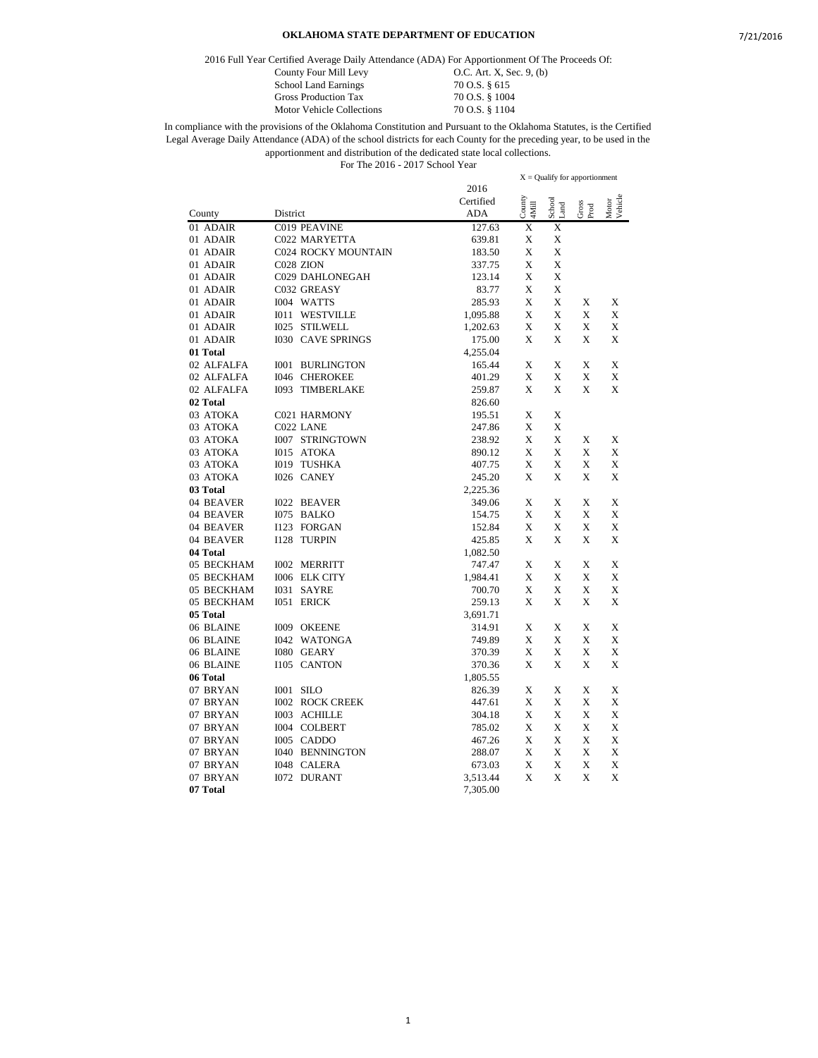2016 Full Year Certified Average Daily Attendance (ADA) For Apportionment Of The Proceeds Of:

County Four Mill Levy 0.C. Art. X, Sec. 9, (b) School Land Earnings 70 O.S. § 615<br>Gross Production Tax 70 O.S. § 1004

Gross Production Tax 70 O.S. § 1004<br>Motor Vehicle Collections 70 O.S. § 1104 Motor Vehicle Collections

|            |                            | $X =$ Qualify for apportionment |                         |                |               |                  |
|------------|----------------------------|---------------------------------|-------------------------|----------------|---------------|------------------|
|            |                            | 2016                            |                         |                |               |                  |
|            |                            | Certified                       | $\frac{Country}{4Mill}$ | School<br>Land | Gross<br>Prod | Motor<br>Vehicle |
| County     | District                   | ADA                             |                         |                |               |                  |
| 01 ADAIR   | C019 PEAVINE               | 127.63                          | X                       | X              |               |                  |
| 01 ADAIR   | C022 MARYETTA              | 639.81                          | X                       | X              |               |                  |
| 01 ADAIR   | <b>C024 ROCKY MOUNTAIN</b> | 183.50                          | X                       | X              |               |                  |
| 01 ADAIR   | C028 ZION                  | 337.75                          | X                       | X              |               |                  |
| 01 ADAIR   | C029 DAHLONEGAH            | 123.14                          | Х                       | Х              |               |                  |
| 01 ADAIR   | C032 GREASY                | 83.77                           | Х                       | X              |               |                  |
| 01 ADAIR   | I004 WATTS                 | 285.93                          | X                       | X              | X             | X                |
| 01 ADAIR   | <b>I011 WESTVILLE</b>      | 1,095.88                        | X                       | X              | X             | X                |
| 01 ADAIR   | I025 STILWELL              | 1,202.63                        | X                       | X              | X             | X                |
| 01 ADAIR   | <b>I030 CAVE SPRINGS</b>   | 175.00                          | X                       | X              | X             | X                |
| 01 Total   |                            | 4,255.04                        |                         |                |               |                  |
| 02 ALFALFA | BURLINGTON<br><b>IOO1</b>  | 165.44                          | X                       | X              | X             | X                |
| 02 ALFALFA | <b>I046 CHEROKEE</b>       | 401.29                          | X                       | X              | X             | X                |
| 02 ALFALFA | <b>I093 TIMBERLAKE</b>     | 259.87                          | X                       | X              | X             | X                |
| 02 Total   |                            | 826.60                          |                         |                |               |                  |
| 03 ATOKA   | C021 HARMONY               | 195.51                          | X                       | X              |               |                  |
| 03 ATOKA   | C022 LANE                  | 247.86                          | X                       | X              |               |                  |
| 03 ATOKA   | <b>I007 STRINGTOWN</b>     | 238.92                          | X                       | X              | X             | X                |
| 03 ATOKA   | I015 ATOKA                 | 890.12                          | X                       | X              | X             | X                |
| 03 ATOKA   | I019 TUSHKA                | 407.75                          | X                       | X              | X             | X                |
| 03 ATOKA   | I026 CANEY                 | 245.20                          | X                       | X              | X             | X                |
| 03 Total   |                            | 2,225.36                        |                         |                |               |                  |
| 04 BEAVER  | <b>I022 BEAVER</b>         | 349.06                          | X                       | Х              | Х             | X                |
| 04 BEAVER  | I075 BALKO                 | 154.75                          | X                       | X              | X             | X                |
| 04 BEAVER  | I123 FORGAN                | 152.84                          | X                       | X              | X             | X                |
| 04 BEAVER  | I128 TURPIN                | 425.85                          | X                       | X              | X             | X                |
| 04 Total   |                            | 1,082.50                        |                         |                |               |                  |
| 05 BECKHAM | <b>I002 MERRITT</b>        | 747.47                          | X                       | X              | X             | X                |
| 05 BECKHAM | I006 ELK CITY              | 1,984.41                        | X                       | X              | X             | X                |
| 05 BECKHAM | 1031<br><b>SAYRE</b>       | 700.70                          | Х                       | X              | X             | X                |
| 05 BECKHAM | <b>I051 ERICK</b>          | 259.13                          | X                       | X              | X             | X                |
| 05 Total   |                            | 3,691.71                        |                         |                |               |                  |
| 06 BLAINE  | I009 OKEENE                | 314.91                          | X                       | X              | X             | X                |
| 06 BLAINE  | <b>I042 WATONGA</b>        | 749.89                          | X                       | X              | X             | X                |
| 06 BLAINE  | <b>I080 GEARY</b>          | 370.39                          | X                       | X              | X             | X                |
| 06 BLAINE  | I105 CANTON                | 370.36                          | Х                       | X              | X             | X                |
| 06 Total   |                            | 1,805.55                        |                         |                |               |                  |
| 07 BRYAN   | <b>I001 SILO</b>           | 826.39                          | X                       | X              | X             | X                |
| 07 BRYAN   | <b>I002 ROCK CREEK</b>     | 447.61                          | Х                       | X              | X             | X                |
| 07 BRYAN   | I003 ACHILLE               | 304.18                          | Х                       | Х              | X             | X                |
| 07 BRYAN   | I004 COLBERT               | 785.02                          | X                       | X              | X             | X                |
| 07 BRYAN   | I005 CADDO                 | 467.26                          | X                       | X              | X             | X                |
| 07 BRYAN   | <b>I040 BENNINGTON</b>     | 288.07                          | X                       | X              | X             | X                |
| 07 BRYAN   | I048 CALERA                | 673.03                          | Х                       | X              | X             | X                |
| 07 BRYAN   | <b>I072 DURANT</b>         | 3,513.44                        | X                       | X              | X             | X                |
| 07 Total   |                            | 7,305.00                        |                         |                |               |                  |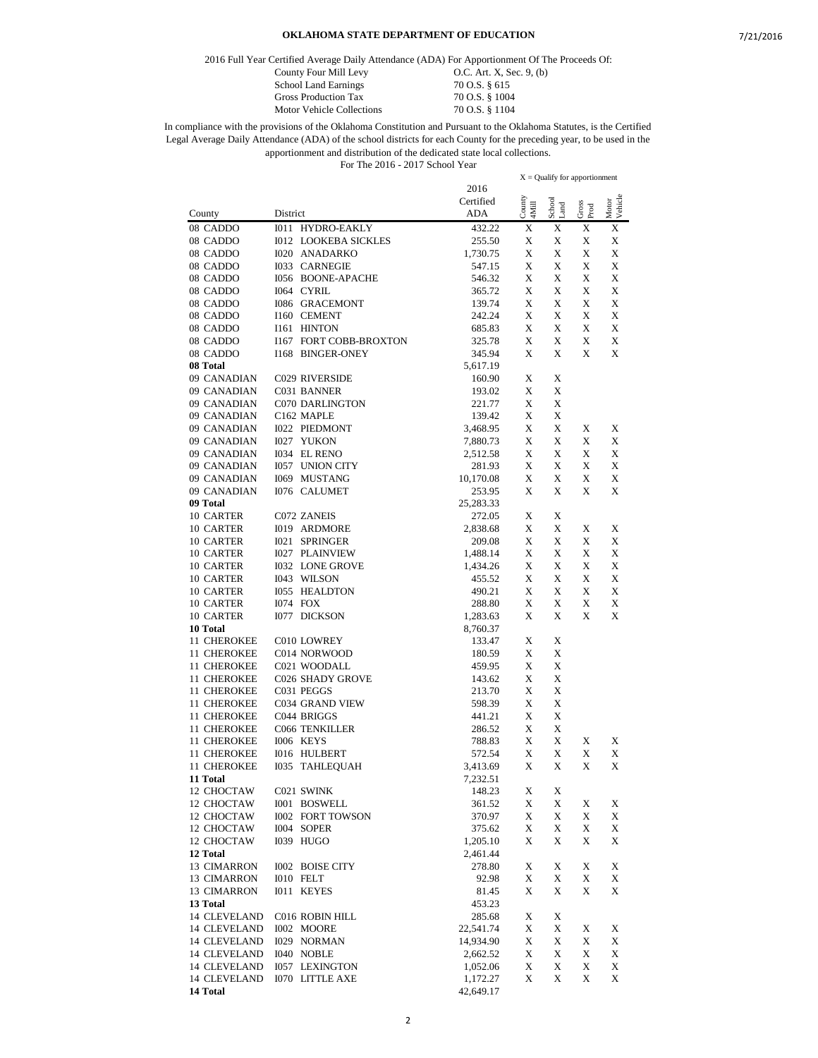2016 Full Year Certified Average Daily Attendance (ADA) For Apportionment Of The Proceeds Of:

Motor Vehicle Collections

County Four Mill Levy **O.C.** Art. X, Sec. 9, (b)<br>School Land Earnings 70 O.S. § 615 School Land Earnings 70 O.S. § 615<br>Gross Production Tax 70 O.S. § 1004 Gross Production Tax 70 O.S. § 1004<br>Motor Vehicle Collections 70 O.S. § 1104

|              |                             |           |                 | $X =$ Qualify for apportionment |               |         |
|--------------|-----------------------------|-----------|-----------------|---------------------------------|---------------|---------|
|              |                             | 2016      |                 |                                 |               |         |
|              |                             | Certified | County<br>4Mill | School                          |               | Vehicle |
| County       | District                    | ADA       |                 | Land                            | Gross<br>Prod | Motor   |
| 08 CADDO     | 1011 HYDRO-EAKLY            | 432.22    | X               | X                               | X             | X       |
| 08 CADDO     | <b>I012 LOOKEBA SICKLES</b> | 255.50    | X               | Х                               | X             | X       |
| 08 CADDO     | <b>I020 ANADARKO</b>        | 1,730.75  | X               | X                               | X             | X       |
| 08 CADDO     | <b>I033 CARNEGIE</b>        | 547.15    | X               | X                               | X             | X       |
| 08 CADDO     | 1056 BOONE-APACHE           | 546.32    | Х               | X                               | X             | X       |
| 08 CADDO     | I064 CYRIL                  | 365.72    | X               | X                               | X             | X       |
| 08 CADDO     | <b>I086 GRACEMONT</b>       | 139.74    | X               | X                               | X             | X       |
| 08 CADDO     | I160 CEMENT                 | 242.24    | X               | X                               | X             | X       |
| 08 CADDO     | I161 HINTON                 | 685.83    | X               | Х                               | X             | X       |
| 08 CADDO     | 1167 FORT COBB-BROXTON      | 325.78    | X               | X                               | X             | X       |
| 08 CADDO     | <b>I168 BINGER-ONEY</b>     | 345.94    | X               | X                               | X             | X       |
| 08 Total     |                             | 5,617.19  |                 |                                 |               |         |
| 09 CANADIAN  | C029 RIVERSIDE              | 160.90    | X               | Х                               |               |         |
| 09 CANADIAN  | C031 BANNER                 | 193.02    | X               | X                               |               |         |
| 09 CANADIAN  | <b>C070 DARLINGTON</b>      | 221.77    | X               | X                               |               |         |
| 09 CANADIAN  | C162 MAPLE                  | 139.42    | X               | X                               |               |         |
| 09 CANADIAN  | <b>I022 PIEDMONT</b>        | 3,468.95  | X               | Х                               | X             | X       |
| 09 CANADIAN  | <b>I027 YUKON</b>           | 7,880.73  | X               | Х                               | X             | X       |
| 09 CANADIAN  | I034 EL RENO                | 2,512.58  | X               | X                               | X             | X       |
| 09 CANADIAN  | 1057 UNION CITY             | 281.93    | X               | X                               | X             | X       |
| 09 CANADIAN  | 1069 MUSTANG                | 10,170.08 | X               | X                               | X             | X       |
| 09 CANADIAN  | <b>I076 CALUMET</b>         | 253.95    | X               | X                               | X             | X       |
| 09 Total     |                             | 25,283.33 |                 |                                 |               |         |
|              |                             |           |                 |                                 |               |         |
| 10 CARTER    | C072 ZANEIS                 | 272.05    | X               | Х                               |               |         |
| 10 CARTER    | I019 ARDMORE                | 2,838.68  | X               | X                               | X             | X       |
| 10 CARTER    | <b>I021 SPRINGER</b>        | 209.08    | X               | Х                               | X             | X       |
| 10 CARTER    | <b>I027 PLAINVIEW</b>       | 1,488.14  | X               | Х                               | X             | X       |
| 10 CARTER    | <b>I032 LONE GROVE</b>      | 1,434.26  | X               | X                               | X             | X       |
| 10 CARTER    | I043 WILSON                 | 455.52    | X               | X                               | X             | X       |
| 10 CARTER    | <b>I055 HEALDTON</b>        | 490.21    | X               | Х                               | X             | X       |
| 10 CARTER    | <b>I074 FOX</b>             | 288.80    | X               | X                               | X             | X       |
| 10 CARTER    | <b>I077 DICKSON</b>         | 1,283.63  | X               | X                               | X             | X       |
| 10 Total     |                             | 8,760.37  |                 |                                 |               |         |
| 11 CHEROKEE  | C010 LOWREY                 | 133.47    | X               | Х                               |               |         |
| 11 CHEROKEE  | C014 NORWOOD                | 180.59    | X               | X                               |               |         |
| 11 CHEROKEE  | C021 WOODALL                | 459.95    | X               | X                               |               |         |
| 11 CHEROKEE  | C026 SHADY GROVE            | 143.62    | X               | X                               |               |         |
| 11 CHEROKEE  | C031 PEGGS                  | 213.70    | X               | Х                               |               |         |
| 11 CHEROKEE  | C034 GRAND VIEW             | 598.39    | X               | X                               |               |         |
| 11 CHEROKEE  | C044 BRIGGS                 | 441.21    | X               | X                               |               |         |
| 11 CHEROKEE  | C066 TENKILLER              | 286.52    | X               | X                               |               |         |
| 11 CHEROKEE  | I006 KEYS                   | 788.83    | X               | Х                               | X             | X       |
| 11 CHEROKEE  | <b>I016 HULBERT</b>         | 572.54    | X               | Х                               | X             | X       |
| 11 CHEROKEE  | I035<br><b>TAHLEQUAH</b>    | 3,413.69  | X               | X                               | X             | X       |
| 11 Total     |                             | 7,232.51  |                 |                                 |               |         |
| 12 CHOCTAW   | C021 SWINK                  | 148.23    | X               | X                               |               |         |
| 12 CHOCTAW   | I001 BOSWELL                | 361.52    | X               | X                               | X             | X       |
| 12 CHOCTAW   | <b>I002 FORT TOWSON</b>     | 370.97    | X               | X                               | X             | X       |
| 12 CHOCTAW   | I004 SOPER                  | 375.62    | X               | X                               | X             | X       |
| 12 CHOCTAW   | I039 HUGO                   | 1,205.10  | X               | X                               | X             | X       |
| 12 Total     |                             | 2,461.44  |                 |                                 |               |         |
| 13 CIMARRON  | <b>I002 BOISE CITY</b>      | 278.80    | X               | X                               | X             | X       |
| 13 CIMARRON  | I010 FELT                   | 92.98     | X               | X                               | X             | X       |
| 13 CIMARRON  | I011 KEYES                  | 81.45     | X               | X                               | X             | X       |
| 13 Total     |                             | 453.23    |                 |                                 |               |         |
| 14 CLEVELAND | C016 ROBIN HILL             | 285.68    | X               | X                               |               |         |
| 14 CLEVELAND | I002 MOORE                  | 22,541.74 | X               | X                               | X             | X       |
| 14 CLEVELAND | <b>I029 NORMAN</b>          | 14,934.90 | X               | X                               | X             | X       |
| 14 CLEVELAND | I040 NOBLE                  | 2,662.52  | X               | X                               | X             | X       |
| 14 CLEVELAND | <b>I057 LEXINGTON</b>       | 1,052.06  | X               | X                               | X             | X       |
| 14 CLEVELAND | <b>I070 LITTLE AXE</b>      | 1,172.27  | X               | X                               | X             | X       |
| 14 Total     |                             | 42,649.17 |                 |                                 |               |         |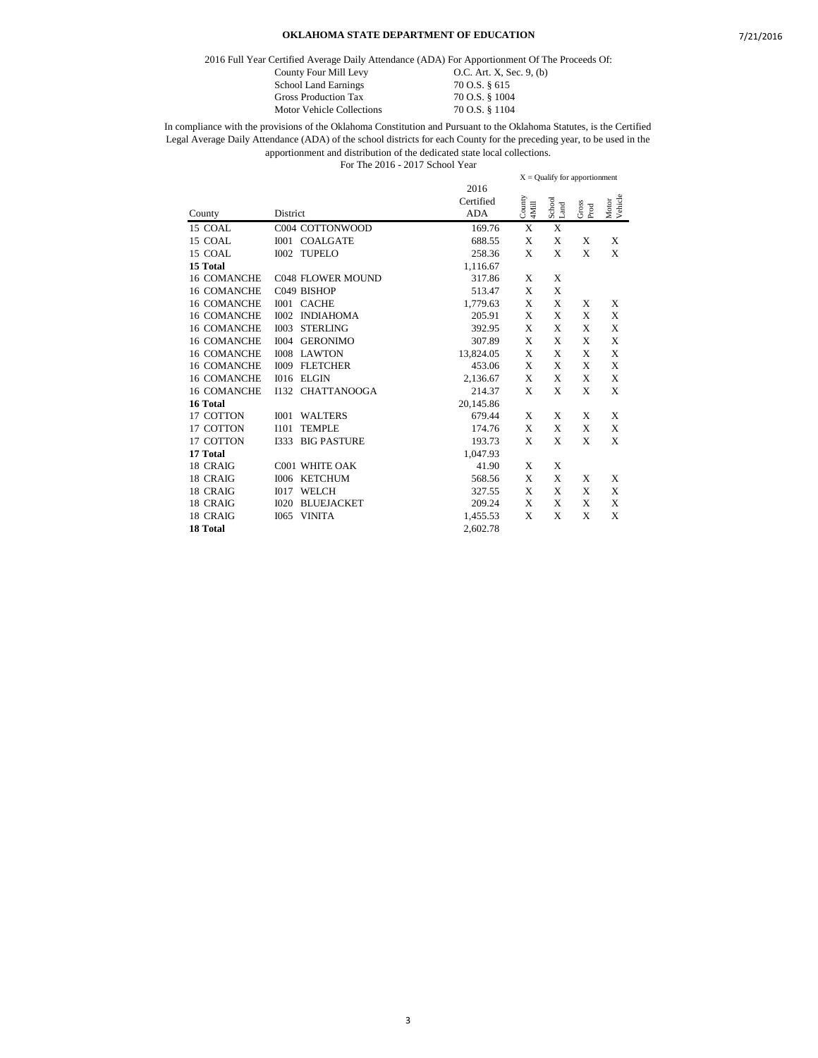2016 Full Year Certified Average Daily Attendance (ADA) For Apportionment Of The Proceeds Of:

|                   | inty Four Mill Levy |
|-------------------|---------------------|
| ool Land Earnings |                     |

County Four Mill Levy **O.C.** Art. X, Sec. 9, (b) School Land Earnings 70 O.S. § 615 Gross Production Tax 70 O.S. § 1004<br>Motor Vehicle Collections 70 O.S. § 1104 Motor Vehicle Collections

In compliance with the provisions of the Oklahoma Constitution and Pursuant to the Oklahoma Statutes, is the Certified Legal Average Daily Attendance (ADA) of the school districts for each County for the preceding year, to be used in the apportionment and distribution of the dedicated state local collections. For The 2016 - 2017 School Year

2016 Certified County District ADA X = Qualify for apportionment County 4Mill School Land Gross Prod Motor Vehicle 15 COAL C004 COTTONWOOD 169.76 X X 15 COAL 1001 COALGATE 688.55 X X  $1001$  COALGATE 688.55 X X X X X 15 COAL I002 TUPELO 258.36 X X X X **15 Total** 1,116.67 16 COMANCHE C048 FLOWER MOUND 317.86 X X 16 COMANCHE C049 BISHOP 513.47 X X 16 COMANCHE I001 CACHE 1,779.63 X X X X 16 COMANCHE I002 INDIAHOMA 205.91 X X X X 16 COMANCHE I003 STERLING 392.95 X X X X 16 COMANCHE 1004 GERONIMO 307.89 X X X X X X 16 COMANCHE 1008 LAWTON 13,824.05 X X X X X 16 COMANCHE I008 LAWTON 13,824.05 X X X X 16 COMANCHE I009 FLETCHER 453.06 X X X X 16 COMANCHE I016 ELGIN 2,136.67 X X X X 16 COMANCHE I132 CHATTANOOGA 214.37 X X X X **16 Total** 20,145.86 17 COTTON I001 WALTERS 679.44 X X X X 17 COTTON 101 TEMPLE 174.76 X X X X X 17 COTTON 1333 BIG PASTURE 193.73 X X X X X 17 193.73 BIG PASTURE 193.73 X X X X **17 Total** 1,047.93 18 CRAIG C001 WHITE OAK 41.90 X X 18 CRAIG I006 KETCHUM 568.56 X X X X 1017 WELCH 327.55 X X X X 18 CRAIG I020 BLUEJACKET 209.24 X X X X 1,455.53 X X X X X **18 Total** 2,602.78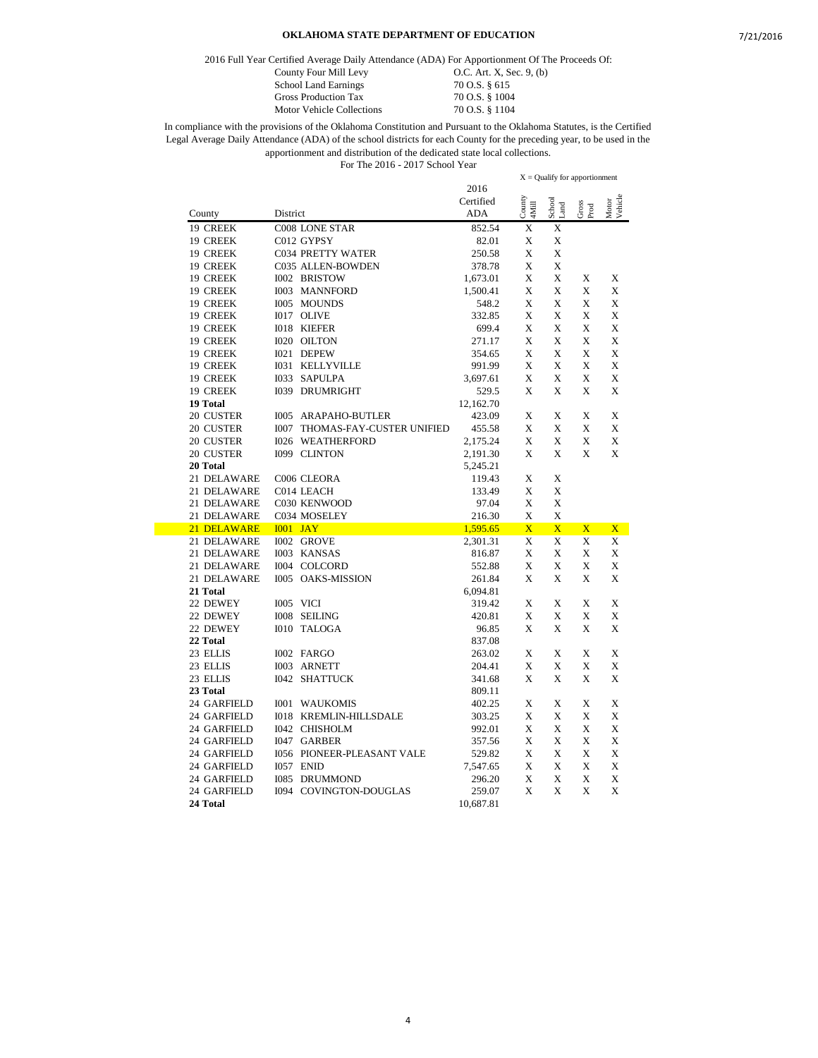2016 Full Year Certified Average Daily Attendance (ADA) For Apportionment Of The Proceeds Of:

| County Four Mill Levy       | O.C. Art. X, Sec. 9, $(b)$ |
|-----------------------------|----------------------------|
| <b>School Land Earnings</b> | 70 O.S. § 615              |
| <b>Gross Production Tax</b> | 70 O.S. § 1004             |
| Motor Vehicle Collections   | 70 O.S. § 1104             |

|             |                                       |                         |                 | $X =$ Qualify for apportionment |                         |                  |  |
|-------------|---------------------------------------|-------------------------|-----------------|---------------------------------|-------------------------|------------------|--|
|             |                                       | 2016                    |                 |                                 |                         |                  |  |
|             |                                       | Certified<br><b>ADA</b> | County<br>4Mill | School<br>and                   | ${\rm Gross}$ Prod      | Motor<br>Vehicle |  |
| County      | District                              |                         |                 |                                 |                         |                  |  |
| 19 CREEK    | <b>C008 LONE STAR</b>                 | 852.54                  | X               | X                               |                         |                  |  |
| 19 CREEK    | C012 GYPSY                            | 82.01                   | X               | X                               |                         |                  |  |
| 19 CREEK    | <b>C034 PRETTY WATER</b>              | 250.58                  | X               | X                               |                         |                  |  |
| 19 CREEK    | C035 ALLEN-BOWDEN                     | 378.78                  | X               | X                               |                         |                  |  |
| 19 CREEK    | I002 BRISTOW                          | 1,673.01                | X               | X                               | X                       | X                |  |
| 19 CREEK    | <b>I003 MANNFORD</b>                  | 1,500.41                | X               | X                               | X                       | X                |  |
| 19 CREEK    | I005 MOUNDS                           | 548.2                   | X               | X                               | X                       | X                |  |
| 19 CREEK    | I017 OLIVE                            | 332.85                  | X               | X                               | X                       | X                |  |
| 19 CREEK    | <b>I018 KIEFER</b>                    | 699.4                   | X               | X                               | X                       | X                |  |
| 19 CREEK    | I020 OILTON                           | 271.17                  | X               | X                               | X                       | X                |  |
| 19 CREEK    | I021 DEPEW                            | 354.65                  | X               | X                               | X                       | X                |  |
| 19 CREEK    | <b>I031 KELLYVILLE</b>                | 991.99                  | X               | $\mathbf x$                     | X                       | X                |  |
| 19 CREEK    | I033 SAPULPA                          | 3,697.61                | X               | X                               | X                       | X                |  |
| 19 CREEK    | <b>I039 DRUMRIGHT</b>                 | 529.5                   | X               | X                               | X                       | X                |  |
| 19 Total    |                                       | 12,162.70               |                 |                                 |                         |                  |  |
| 20 CUSTER   | <b>I005 ARAPAHO-BUTLER</b>            | 423.09                  | X               | X                               | X                       | X                |  |
| 20 CUSTER   | <b>I007 THOMAS-FAY-CUSTER UNIFIED</b> | 455.58                  | X               | X                               | X                       | X                |  |
| 20 CUSTER   | <b>I026 WEATHERFORD</b>               | 2,175.24                | X               | X                               | X                       | X                |  |
| 20 CUSTER   | I099 CLINTON                          | 2,191.30                | X               | X                               | X                       | X                |  |
| 20 Total    |                                       | 5,245.21                |                 |                                 |                         |                  |  |
| 21 DELAWARE | C006 CLEORA                           | 119.43                  | X               | X                               |                         |                  |  |
| 21 DELAWARE | C014 LEACH                            | 133.49                  | X               | X                               |                         |                  |  |
| 21 DELAWARE | C030 KENWOOD                          | 97.04                   | X               | X                               |                         |                  |  |
| 21 DELAWARE | C034 MOSELEY                          | 216.30                  | X               | X                               |                         |                  |  |
| 21 DELAWARE | $IO01$ JAY                            | 1,595.65                | $\overline{X}$  | $\overline{\text{X}}$           | $\overline{\mathbf{X}}$ | $\mathbf{X}$     |  |
| 21 DELAWARE | I002 GROVE                            | 2,301.31                | X               | X                               | X                       | X                |  |
| 21 DELAWARE | I003 KANSAS                           | 816.87                  | X               | X                               | X                       | X                |  |
| 21 DELAWARE | I004 COLCORD                          | 552.88                  | X               | X                               | X                       | X                |  |
| 21 DELAWARE | <b>I005 OAKS-MISSION</b>              | 261.84                  | X               | X                               | X                       | X                |  |
| 21 Total    |                                       | 6,094.81                |                 |                                 |                         |                  |  |
| 22 DEWEY    | I005 VICI                             | 319.42                  | X               | X                               | X                       | X                |  |
| 22 DEWEY    | I008 SEILING                          | 420.81                  | X               | X                               | X                       | X                |  |
| 22 DEWEY    | I010 TALOGA                           | 96.85                   | X               | $\mathbf x$                     | X                       | X                |  |
| 22 Total    |                                       | 837.08                  |                 |                                 |                         |                  |  |
| 23 ELLIS    | I002 FARGO                            | 263.02                  | X               | X                               | X                       | X                |  |
| 23 ELLIS    | I003 ARNETT                           | 204.41                  | X               | X                               | X                       | X                |  |
| 23 ELLIS    | I042 SHATTUCK                         | 341.68                  | X               | X                               | X                       | X                |  |
| 23 Total    |                                       |                         |                 |                                 |                         |                  |  |
|             |                                       | 809.11                  |                 |                                 |                         |                  |  |
| 24 GARFIELD | <b>I001 WAUKOMIS</b>                  | 402.25                  | X               | X                               | X                       | X                |  |
| 24 GARFIELD | <b>I018 KREMLIN-HILLSDALE</b>         | 303.25                  | X               | X                               | X                       | X                |  |
| 24 GARFIELD | <b>I042 CHISHOLM</b>                  | 992.01                  | X               | X                               | X                       | X                |  |
| 24 GARFIELD | I047 GARBER                           | 357.56                  | X               | X                               | X                       | X                |  |
| 24 GARFIELD | <b>I056 PIONEER-PLEASANT VALE</b>     | 529.82                  | X               | X                               | X                       | X                |  |
| 24 GARFIELD | I057 ENID                             | 7,547.65                | X               | X                               | X                       | X                |  |
| 24 GARFIELD | <b>I085 DRUMMOND</b>                  | 296.20                  | X               | X                               | X                       | X                |  |
| 24 GARFIELD | I094 COVINGTON-DOUGLAS                | 259.07                  | X               | $\mathbf x$                     | X                       | X                |  |
| 24 Total    |                                       | 10,687.81               |                 |                                 |                         |                  |  |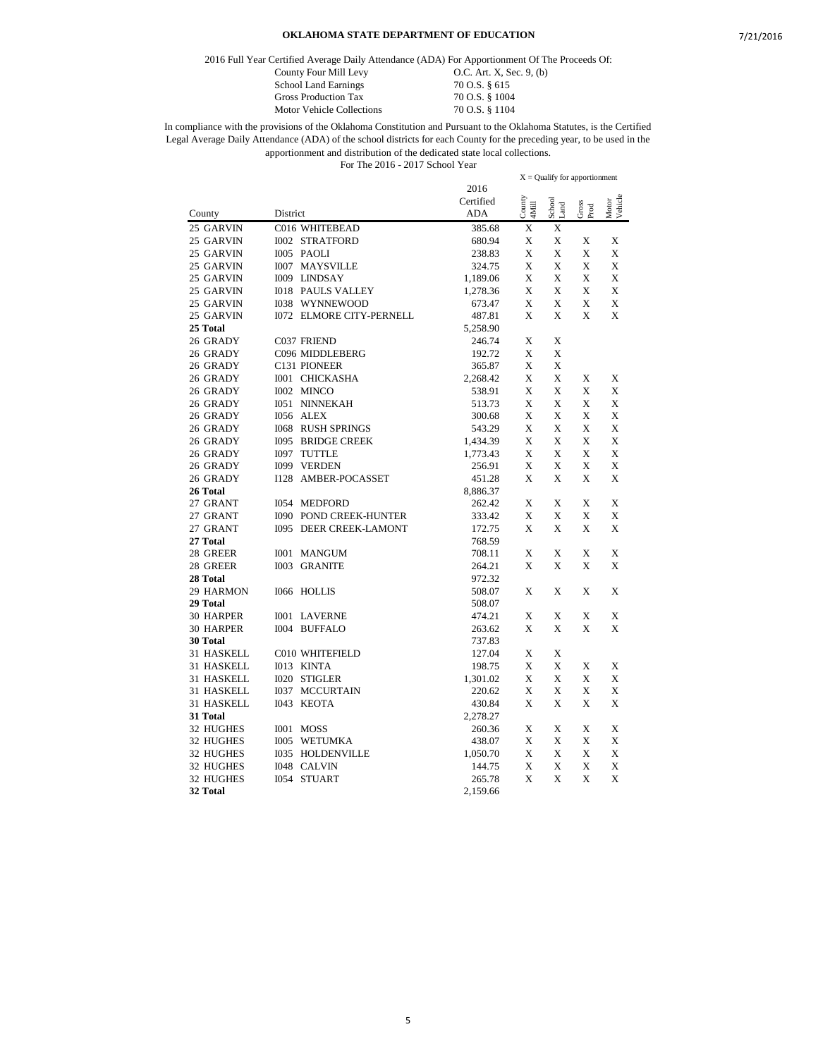2016 Full Year Certified Average Daily Attendance (ADA) For Apportionment Of The Proceeds Of:

Motor Vehicle Collections

County Four Mill Levy 0.C. Art. X, Sec. 9, (b) School Land Earnings 70 O.S. § 615<br>Gross Production Tax 70 O.S. § 1004 Gross Production Tax 70 O.S. § 1004<br>Motor Vehicle Collections 70 O.S. § 1104

|            |          |                                 |            | $X =$ Qualify for apportionment |                                 |               |                  |  |
|------------|----------|---------------------------------|------------|---------------------------------|---------------------------------|---------------|------------------|--|
|            |          |                                 | 2016       |                                 |                                 |               |                  |  |
|            |          |                                 | Certified  | County<br>4Mill                 | ${\rm School} \atop {\rm Land}$ | Gross<br>Prod | Motor<br>Vehicle |  |
| County     | District |                                 | <b>ADA</b> |                                 |                                 |               |                  |  |
| 25 GARVIN  |          | C016 WHITEBEAD                  | 385.68     | X                               | X                               |               |                  |  |
| 25 GARVIN  |          | <b>I002 STRATFORD</b>           | 680.94     | X                               | X                               | X             | X                |  |
| 25 GARVIN  |          | I005 PAOLI                      | 238.83     | X                               | X                               | X             | X                |  |
| 25 GARVIN  |          | <b>I007 MAYSVILLE</b>           | 324.75     | X                               | X                               | X             | X                |  |
| 25 GARVIN  |          | I009 LINDSAY                    | 1,189.06   | X                               | X                               | X             | X                |  |
| 25 GARVIN  |          | <b>I018 PAULS VALLEY</b>        | 1,278.36   | X                               | X                               | X             | X                |  |
| 25 GARVIN  |          | <b>I038 WYNNEWOOD</b>           | 673.47     | X                               | X                               | X             | X                |  |
| 25 GARVIN  |          | <b>I072 ELMORE CITY-PERNELL</b> | 487.81     | X                               | X                               | X             | X                |  |
| 25 Total   |          |                                 | 5,258.90   |                                 |                                 |               |                  |  |
| 26 GRADY   |          | C037 FRIEND                     | 246.74     | X                               | X                               |               |                  |  |
| 26 GRADY   |          | C096 MIDDLEBERG                 | 192.72     | X                               | X                               |               |                  |  |
| 26 GRADY   |          | C <sub>131</sub> PIONEER        | 365.87     | X                               | X                               |               |                  |  |
| 26 GRADY   |          | <b>I001 CHICKASHA</b>           | 2,268.42   | X                               | X                               | X             | X                |  |
| 26 GRADY   |          | I002 MINCO                      | 538.91     | X                               | X                               | X             | X                |  |
| 26 GRADY   |          | <b>I051 NINNEKAH</b>            | 513.73     | X                               | X                               | X             | X                |  |
| 26 GRADY   |          | I056 ALEX                       | 300.68     | X                               | X                               | X             | X                |  |
| 26 GRADY   |          | <b>I068 RUSH SPRINGS</b>        | 543.29     | X                               | X                               | X             | X                |  |
| 26 GRADY   |          | 1095 BRIDGE CREEK               | 1,434.39   | X                               | X                               | X             | X                |  |
| 26 GRADY   |          | I097 TUTTLE                     | 1,773.43   | X                               | X                               | X             | X                |  |
| 26 GRADY   |          | <b>I099 VERDEN</b>              | 256.91     | X                               | X                               | X             | X                |  |
| 26 GRADY   |          | I128 AMBER-POCASSET             | 451.28     | X                               | X                               | X             | X                |  |
| 26 Total   |          |                                 | 8,886.37   |                                 |                                 |               |                  |  |
| 27 GRANT   |          | <b>I054 MEDFORD</b>             | 262.42     | X                               | X                               | X             | X                |  |
| 27 GRANT   |          | <b>I090 POND CREEK-HUNTER</b>   | 333.42     | X                               | X                               | X             | X                |  |
| 27 GRANT   |          | <b>I095 DEER CREEK-LAMONT</b>   | 172.75     | X                               | X                               | X             | X                |  |
| 27 Total   |          |                                 | 768.59     |                                 |                                 |               |                  |  |
| 28 GREER   |          | <b>I001 MANGUM</b>              | 708.11     | X                               | X                               | X             | X                |  |
| 28 GREER   |          | <b>I003 GRANITE</b>             | 264.21     | X                               | X                               | X             | X                |  |
| 28 Total   |          |                                 | 972.32     |                                 |                                 |               |                  |  |
| 29 HARMON  |          | I066 HOLLIS                     | 508.07     | X                               | X                               | X             | X                |  |
| 29 Total   |          |                                 | 508.07     |                                 |                                 |               |                  |  |
| 30 HARPER  |          | <b>I001 LAVERNE</b>             | 474.21     | X                               | Х                               | X             | X                |  |
| 30 HARPER  |          | I004 BUFFALO                    | 263.62     | X                               | X                               | X             | X                |  |
| 30 Total   |          |                                 | 737.83     |                                 |                                 |               |                  |  |
| 31 HASKELL |          | C010 WHITEFIELD                 | 127.04     | X                               | X                               |               |                  |  |
| 31 HASKELL |          | I013 KINTA                      | 198.75     | X                               | X                               | X             | X                |  |
| 31 HASKELL |          | <b>I020 STIGLER</b>             | 1,301.02   | X                               | X                               | X             | X                |  |
| 31 HASKELL |          | <b>I037 MCCURTAIN</b>           | 220.62     | X                               | X                               | X             | X                |  |
| 31 HASKELL |          | I043 KEOTA                      | 430.84     | X                               | X                               | X             | X                |  |
| 31 Total   |          |                                 | 2,278.27   |                                 |                                 |               |                  |  |
| 32 HUGHES  |          | I001 MOSS                       | 260.36     | X                               | X                               | X             | X                |  |
| 32 HUGHES  |          | <b>I005 WETUMKA</b>             | 438.07     | X                               | X                               | X             | X                |  |
| 32 HUGHES  |          | <b>I035 HOLDENVILLE</b>         | 1,050.70   | X                               | X                               | X             | X                |  |
| 32 HUGHES  |          | I048 CALVIN                     | 144.75     | X                               | X                               | X             | X                |  |
| 32 HUGHES  |          | I054 STUART                     | 265.78     | X                               | X                               | X             | X                |  |
| 32 Total   |          |                                 | 2.159.66   |                                 |                                 |               |                  |  |
|            |          |                                 |            |                                 |                                 |               |                  |  |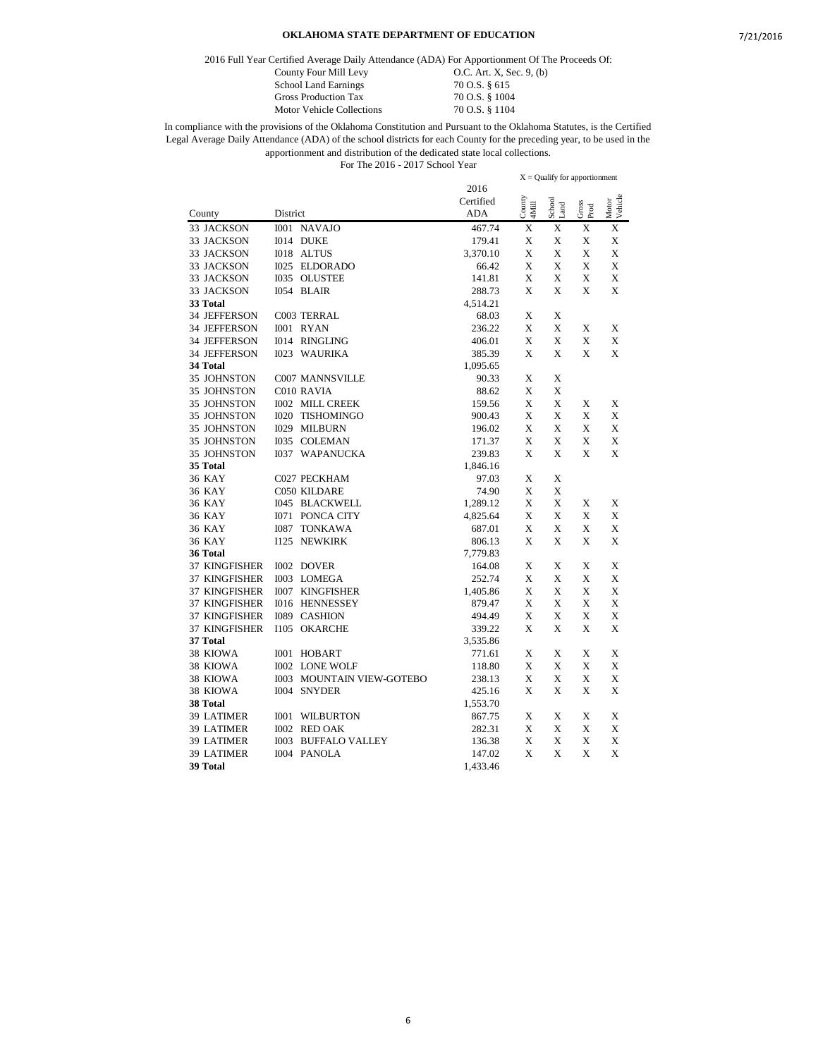2016 Full Year Certified Average Daily Attendance (ADA) For Apportionment Of The Proceeds Of:

County Four Mill Levy **O.C.** Art. X, Sec. 9, (b) School Land Earnings 70 O.S. § 615 Gross Production Tax 70 O.S. § 1004 Motor Vehicle Collections 70 O.S. § 1104

In compliance with the provisions of the Oklahoma Constitution and Pursuant to the Oklahoma Statutes, is the Certified Legal Average Daily Attendance (ADA) of the school districts for each County for the preceding year, to be used in the apportionment and distribution of the dedicated state local collections. For The 2016 - 2017 School Year

2016 Certified County District ADA X = Qualify for apportionment County 4Mill School Land Gross Prod Motor Vehicle 33 JACKSON I001 NAVAJO 467.74 X X X X 33 JACKSON 1014 DUKE 179.41 X X X X 33 JACKSON I018 ALTUS 3,370.10 X X X X 33 JACKSON I025 ELDORADO 66.42 X X X X 33 JACKSON I035 OLUSTEE 141.81 X X X X 33 JACKSON I054 BLAIR 288.73 X X X X **33 Total** 4,514.21 34 JEFFERSON C003 TERRAL 68.03 X X 34 JEFFERSON I001 RYAN 236.22 X X X X 34 JEFFERSON I014 RINGLING 406.01 X X X X 34 JEFFERSON I023 WAURIKA 385.39 X X X X **34 Total** 1,095.65 35 JOHNSTON C007 MANNSVILLE 90.33 X X 35 JOHNSTON C010 RAVIA 88.62 X X 35 JOHNSTON 1002 MILL CREEK 159.56 X X X X X 35 JOHNSTON I020 TISHOMINGO 900.43 X X X X 35 JOHNSTON I029 MILBURN 196.02 X X X X 35 JOHNSTON 1035 COLEMAN 171.37 X X X X 35 JOHNSTON I037 WAPANUCKA 239.83 X X X X **35 Total** 1,846.16 36 KAY C027 PECKHAM 97.03 X X  $2050$  KILDARE  $74.90$  X X 36 KAY I045 BLACKWELL 1,289.12 X X X X 36 KAY I071 PONCA CITY 4,825.64 X X X X 36 KAY I087 TONKAWA 687.01 X X X X 36 KAY I125 NEWKIRK 806.13 X X X X **36 Total** 7,779.83 37 KINGFISHER I002 DOVER 164.08 X X X X 37 KINGFISHER I003 LOMEGA 252.74 X X X X 37 KINGFISHER I007 KINGFISHER 1,405.86 X X X X 37 KINGFISHER I016 HENNESSEY 879.47 X X X X 37 KINGFISHER I089 CASHION 494.49 X X X X 37 KINGFISHER I105 OKARCHE 339.22 X X X X **37 Total** 3,535.86 1001 HOBART 771.61 X X X X 38 KIOWA I002 LONE WOLF 118.80 X X X X 38 KIOWA I003 MOUNTAIN VIEW-GOTEBO 238.13 X X X X 38 KIOWA I004 SNYDER 425.16 X X X X **38 Total** 1,553.70 39 LATIMER I001 WILBURTON 867.75 X X X X 39 LATIMER I002 RED OAK 282.31 X X X X 39 LATIMER I003 BUFFALO VALLEY 136.38 X X X X 39 LATIMER I004 PANOLA 147.02 X X X X **39 Total** 1,433.46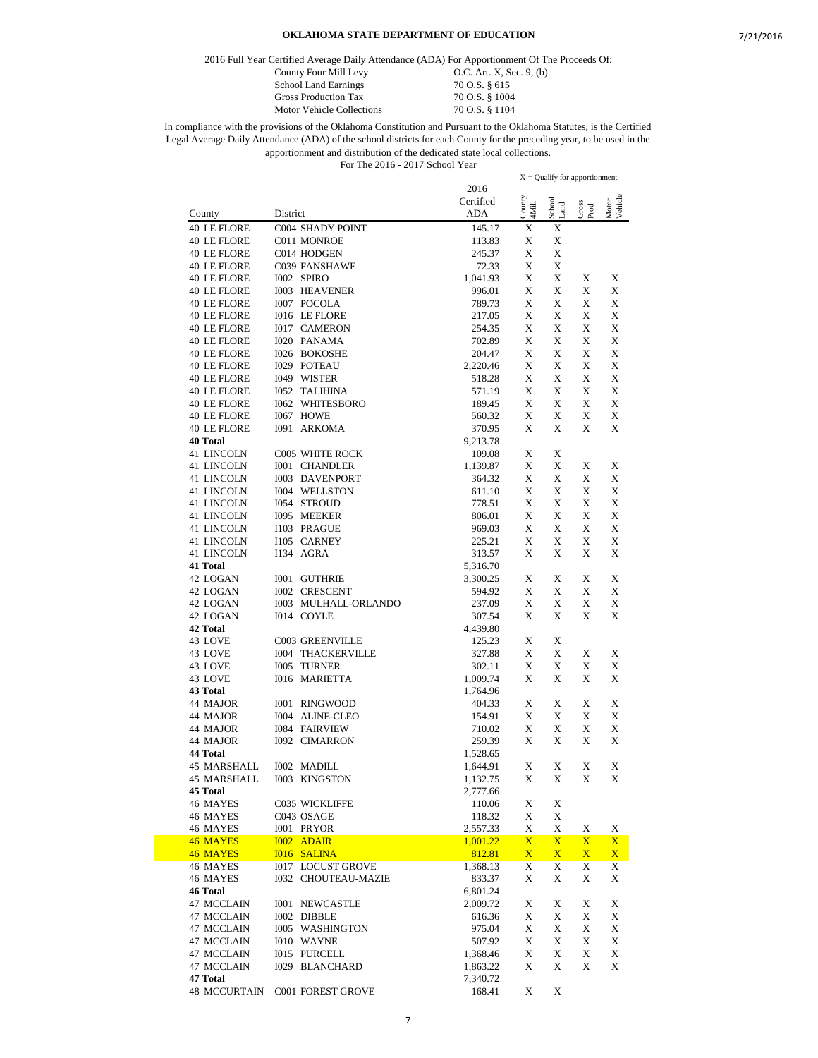2016 Full Year Certified Average Daily Attendance (ADA) For Apportionment Of The Proceeds Of:

| $\mathcal{L}$ cruncu Average Dany Auchdance (ADA) For Apportionment Of Th |
|---------------------------------------------------------------------------|
| $O.C.$ Art. X, Sec. 9, (b)                                                |
| 70 O.S. § 615                                                             |
| 70 O.S. § 1004                                                            |
| 70 O.S. § 1104                                                            |
|                                                                           |

|                         |                              |                      |                 | $X =$ Qualify for apportionment |               |                  |
|-------------------------|------------------------------|----------------------|-----------------|---------------------------------|---------------|------------------|
|                         |                              | 2016                 |                 |                                 |               |                  |
|                         |                              | Certified<br>ADA     | County<br>4Mill | School<br>Land                  | Gross<br>Prod | Motor<br>Vehicle |
| County<br>40 LE FLORE   | District<br>C004 SHADY POINT | 145.17               | X               | X                               |               |                  |
| 40 LE FLORE             | C011 MONROE                  | 113.83               | X               | Х                               |               |                  |
| 40 LE FLORE             | C014 HODGEN                  | 245.37               | X               | X                               |               |                  |
| <b>40 LE FLORE</b>      | C039 FANSHAWE                | 72.33                | X               | X                               |               |                  |
| 40 LE FLORE             | I002 SPIRO                   | 1,041.93             | X               | X                               | X             | X                |
| 40 LE FLORE             | <b>I003 HEAVENER</b>         | 996.01               | X               | X                               | X             | X                |
| 40 LE FLORE             | I007 POCOLA                  | 789.73               | X               | X                               | X             | X                |
| 40 LE FLORE             | I016 LE FLORE                | 217.05               | X               | X                               | X             | X                |
| 40 LE FLORE             | <b>I017 CAMERON</b>          | 254.35               | X               | Х                               | X             | X                |
| 40 LE FLORE             | I020 PANAMA                  | 702.89               | X               | X                               | X             | X                |
| 40 LE FLORE             | <b>I026 BOKOSHE</b>          | 204.47               | X               | X                               | X             | X                |
| 40 LE FLORE             | <b>I029 POTEAU</b>           | 2,220.46             | X               | X                               | X             | X                |
| 40 LE FLORE             | I049 WISTER                  | 518.28               | X               | X                               | X             | X                |
| 40 LE FLORE             | <b>I052 TALIHINA</b>         | 571.19               | X               | X                               | X             | X                |
| 40 LE FLORE             | <b>I062 WHITESBORO</b>       | 189.45               | X               | X                               | X             | X                |
| 40 LE FLORE             | I067 HOWE                    | 560.32               | X               | X                               | X             | X                |
| 40 LE FLORE<br>40 Total | <b>I091 ARKOMA</b>           | 370.95<br>9,213.78   | X               | X                               | X             | X                |
| 41 LINCOLN              | <b>C005 WHITE ROCK</b>       | 109.08               | X               | X                               |               |                  |
| 41 LINCOLN              | <b>I001 CHANDLER</b>         | 1,139.87             | X               | X                               | X             | X                |
| 41 LINCOLN              | <b>I003 DAVENPORT</b>        | 364.32               | X               | X                               | X             | X                |
| 41 LINCOLN              | <b>I004 WELLSTON</b>         | 611.10               | X               | X                               | X             | X                |
| 41 LINCOLN              | <b>I054 STROUD</b>           | 778.51               | X               | X                               | X             | X                |
| 41 LINCOLN              | <b>I095 MEEKER</b>           | 806.01               | X               | X                               | X             | X                |
| 41 LINCOLN              | I103 PRAGUE                  | 969.03               | X               | X                               | X             | X                |
| 41 LINCOLN              | I105 CARNEY                  | 225.21               | X               | Х                               | X             | X                |
| 41 LINCOLN              | I134 AGRA                    | 313.57               | X               | X                               | X             | X                |
| 41 Total                |                              | 5,316.70             |                 |                                 |               |                  |
| 42 LOGAN                | <b>I001 GUTHRIE</b>          | 3,300.25             | X               | X                               | X             | X                |
| 42 LOGAN                | <b>I002 CRESCENT</b>         | 594.92               | X               | X                               | X             | X                |
| 42 LOGAN                | 1003 MULHALL-ORLANDO         | 237.09               | X               | X                               | X             | X                |
| 42 LOGAN                | I014 COYLE                   | 307.54               | X               | X                               | Х             | X                |
| 42 Total                |                              | 4,439.80             |                 |                                 |               |                  |
| 43 LOVE                 | C003 GREENVILLE              | 125.23               | X               | Х                               |               |                  |
| 43 LOVE                 | <b>I004 THACKERVILLE</b>     | 327.88               | X               | X                               | X             | X                |
| 43 LOVE                 | <b>I005 TURNER</b>           | 302.11               | X               | X                               | X             | X                |
| 43 LOVE                 | <b>I016 MARIETTA</b>         | 1,009.74             | X               | X                               | X             | X                |
| 43 Total<br>44 MAJOR    | <b>I001 RINGWOOD</b>         | 1,764.96             | X               | X                               | X             | X                |
| 44 MAJOR                | I004 ALINE-CLEO              | 404.33<br>154.91     | X               | X                               | X             | X                |
| 44 MAJOR                | <b>I084 FAIRVIEW</b>         | 710.02               | X               | X                               | X             | X                |
| 44 MAJOR                | <b>I092 CIMARRON</b>         | 259.39               | X               | X                               | X             | X                |
| 44 Total                |                              | 1,528.65             |                 |                                 |               |                  |
| 45 MARSHALL             | I002 MADILL                  | 1,644.91             | X               | X                               | X             | X                |
| 45 MARSHALL             | I003 KINGSTON                | 1,132.75             | $\mathbf X$     | $\mathbf X$                     | $\mathbf X$   | X                |
| 45 Total                |                              | 2,777.66             |                 |                                 |               |                  |
| 46 MAYES                | C035 WICKLIFFE               | 110.06               | X               | X                               |               |                  |
| 46 MAYES                | C043 OSAGE                   | 118.32               | X               | X                               |               |                  |
| 46 MAYES                | I001 PRYOR                   | 2,557.33             | X               | X                               | X             | X                |
| 46 MAYES                | <b>I002 ADAIR</b>            | 1,001.22             | $\mathbf{X}$    | $\mathbf{X}$                    | $\mathbf X$   | $\mathbf{X}$     |
| 46 MAYES                | <b>I016 SALINA</b>           | 812.81               | $\mathbf{X}$    | $\overline{\mathbf{X}}$         | $\mathbf{X}$  | $\mathbf{X}$     |
| 46 MAYES                | <b>I017 LOCUST GROVE</b>     | 1,368.13             | X               | X                               | X             | X                |
| 46 MAYES                | <b>I032 CHOUTEAU-MAZIE</b>   | 833.37               | X               | X                               | X             | X                |
| 46 Total                |                              | 6,801.24             |                 |                                 |               |                  |
| 47 MCCLAIN              | <b>I001 NEWCASTLE</b>        | 2,009.72             | X               | X                               | X             | X                |
| 47 MCCLAIN              | I002 DIBBLE                  | 616.36               | X               | X                               | X             | X                |
| 47 MCCLAIN              | I005 WASHINGTON              | 975.04               | X               | X                               | X             | X                |
| 47 MCCLAIN              | I010 WAYNE                   | 507.92               | X               | X                               | X             | X                |
| 47 MCCLAIN              | <b>I015 PURCELL</b>          | 1,368.46             | X               | X                               | X             | X                |
| 47 MCCLAIN<br>47 Total  | <b>I029 BLANCHARD</b>        | 1,863.22<br>7,340.72 | X               | X                               | X             | X                |
| 48 MCCURTAIN            | C001 FOREST GROVE            | 168.41               | X               | X                               |               |                  |
|                         |                              |                      |                 |                                 |               |                  |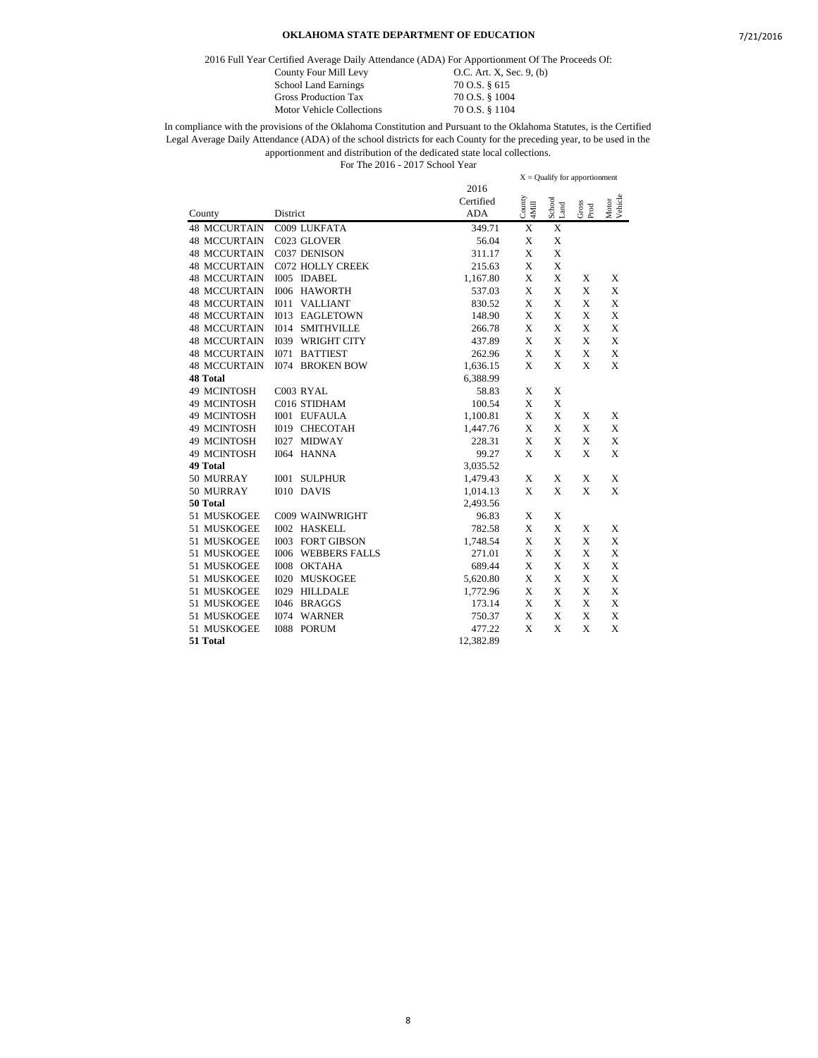2016 Full Year Certified Average Daily Attendance (ADA) For Apportionment Of The Proceeds Of:

School Land Earnings 70 O.S. § 615 Gross Production Tax 70 O.S. § 1004<br>Motor Vehicle Collections 70 O.S. § 1104 Motor Vehicle Collections

County Four Mill Levy 0.C. Art. X, Sec. 9, (b)

|                     |                                     | FOR THE $2010 - 2017$ SCHOOL FEAL |                                 |                |                                    |                  |
|---------------------|-------------------------------------|-----------------------------------|---------------------------------|----------------|------------------------------------|------------------|
|                     |                                     | 2016                              | $X =$ Qualify for apportionment |                |                                    |                  |
|                     |                                     | Certified                         |                                 |                |                                    |                  |
| County              | District                            | <b>ADA</b>                        | County<br>4Mill                 | School<br>Land | $\frac{\text{Gross}}{\text{Prod}}$ | Motor<br>Vehicle |
|                     | C009 LUKFATA                        |                                   |                                 |                |                                    |                  |
| <b>48 MCCURTAIN</b> |                                     | 349.71                            | X                               | X              |                                    |                  |
| <b>48 MCCURTAIN</b> | C023 GLOVER                         | 56.04                             | X                               | X              |                                    |                  |
| <b>48 MCCURTAIN</b> | C037 DENISON                        | 311.17                            | X                               | X              |                                    |                  |
| <b>48 MCCURTAIN</b> | <b>C072 HOLLY CREEK</b>             | 215.63                            | X                               | X              |                                    |                  |
| <b>48 MCCURTAIN</b> | I005 IDABEL                         | 1,167.80                          | X                               | X              | X                                  | X                |
| <b>48 MCCURTAIN</b> | <b>I006 HAWORTH</b>                 | 537.03                            | X                               | X              | X                                  | X                |
| <b>48 MCCURTAIN</b> | I011<br><b>VALLIANT</b>             | 830.52                            | X                               | X              | X                                  | X                |
| <b>48 MCCURTAIN</b> | I <sub>013</sub><br>EAGLETOWN       | 148.90                            | X                               | X              | X                                  | X                |
| <b>48 MCCURTAIN</b> | I014<br><b>SMITHVILLE</b>           | 266.78                            | X                               | X              | X                                  | X                |
| <b>48 MCCURTAIN</b> | <b>WRIGHT CITY</b><br>I039          | 437.89                            | X                               | X              | X                                  | X                |
| <b>48 MCCURTAIN</b> | <b>BATTIEST</b><br><b>I071</b>      | 262.96                            | X                               | X              | X                                  | X                |
| <b>48 MCCURTAIN</b> | <b>I074 BROKEN BOW</b>              | 1,636.15                          | X                               | X              | X                                  | X                |
| <b>48 Total</b>     |                                     | 6,388.99                          |                                 |                |                                    |                  |
| 49 MCINTOSH         | C003 RYAL                           | 58.83                             | X                               | X              |                                    |                  |
| 49 MCINTOSH         | C016 STIDHAM                        | 100.54                            | X                               | X              |                                    |                  |
| 49 MCINTOSH         | <b>I001 EUFAULA</b>                 | 1,100.81                          | X                               | X              | X                                  | X                |
| 49 MCINTOSH         | <b>I019 CHECOTAH</b>                | 1,447.76                          | X                               | X              | X                                  | X                |
| 49 MCINTOSH         | I027 MIDWAY                         | 228.31                            | X                               | X              | X                                  | X                |
| 49 MCINTOSH         | I064 HANNA                          | 99.27                             | X                               | X              | X                                  | X                |
| 49 Total            |                                     | 3,035.52                          |                                 |                |                                    |                  |
| 50 MURRAY           | I001 SULPHUR                        | 1,479.43                          | X                               | X              | X                                  | X                |
| 50 MURRAY           | I010 DAVIS                          | 1,014.13                          | X                               | X              | X                                  | X                |
| 50 Total            |                                     | 2,493.56                          |                                 |                |                                    |                  |
| 51 MUSKOGEE         | C009 WAINWRIGHT                     | 96.83                             | X                               | X              |                                    |                  |
| 51 MUSKOGEE         | <b>I002 HASKELL</b>                 | 782.58                            | X                               | X              | X                                  | X                |
| 51 MUSKOGEE         | <b>I003 FORT GIBSON</b>             | 1,748.54                          | X                               | X              | X                                  | X                |
| 51 MUSKOGEE         | <b>I006</b><br><b>WEBBERS FALLS</b> | 271.01                            | X                               | X              | X                                  | X                |
| 51 MUSKOGEE         | I008 OKTAHA                         | 689.44                            | X                               | X              | X                                  | X                |
| 51 MUSKOGEE         | <b>I020 MUSKOGEE</b>                | 5,620.80                          | X                               | X              | X                                  | X                |
| 51 MUSKOGEE         | <b>I029 HILLDALE</b>                | 1,772.96                          | X                               | $\mathbf X$    | X                                  | X                |
| 51 MUSKOGEE         | I046 BRAGGS                         | 173.14                            | X                               | X              | X                                  | X                |
| 51 MUSKOGEE         | I074 WARNER                         | 750.37                            | X                               | X              | X                                  | X                |
| 51 MUSKOGEE         | <b>IO88</b><br><b>PORUM</b>         | 477.22                            | X                               | X              | X                                  | X                |
| 51 Total            |                                     | 12,382.89                         |                                 |                |                                    |                  |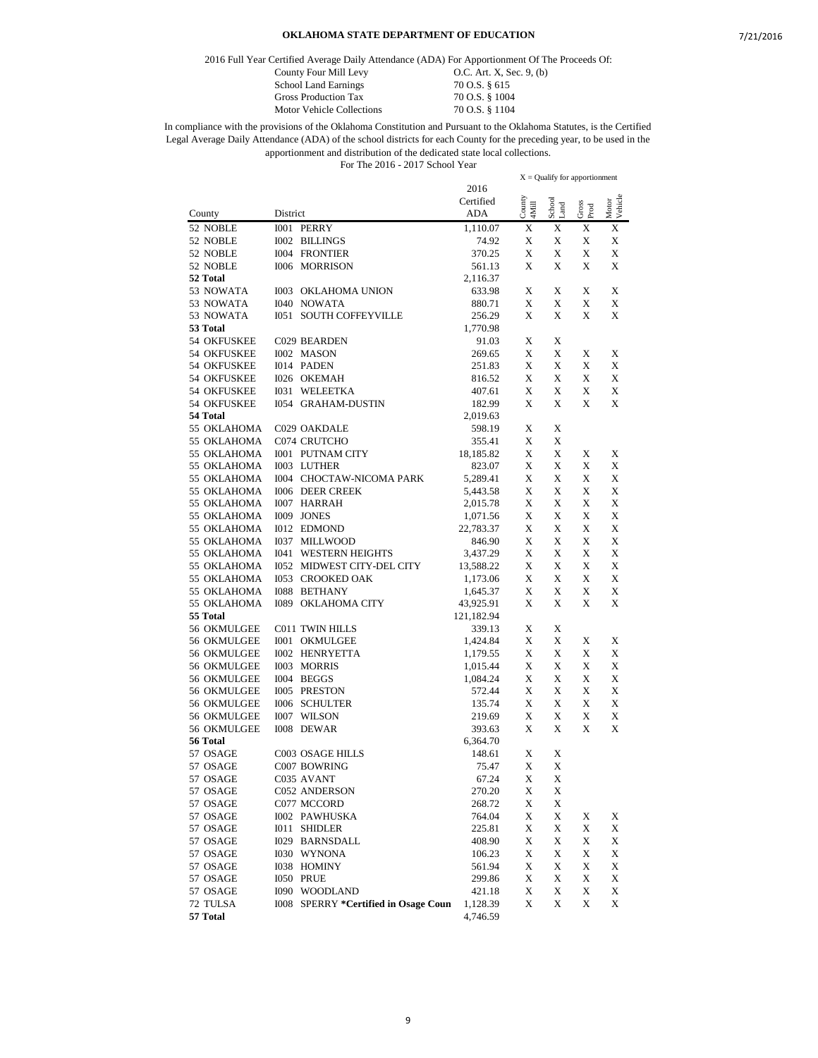2016 Full Year Certified Average Daily Attendance (ADA) For Apportionment Of The Proceeds Of:

Motor Vehicle Collections

County Four Mill Levy 0.C. Art. X, Sec. 9, (b) School Land Earnings 70 O.S. § 615<br>Gross Production Tax 70 O.S. § 1004 Gross Production Tax 70 O.S. § 1004<br>Motor Vehicle Collections 70 O.S. § 1104

|                            |                                      |                         | $X =$ Qualify for apportionment |                |               |                  |
|----------------------------|--------------------------------------|-------------------------|---------------------------------|----------------|---------------|------------------|
|                            |                                      | 2016                    |                                 |                |               |                  |
| County                     | District                             | Certified<br><b>ADA</b> | County<br>4Mill                 | School<br>Land | Gross<br>Prod | Motor<br>Vehicle |
| 52 NOBLE                   | I001 PERRY                           | 1,110.07                | X                               | X              | X             | X                |
| 52 NOBLE                   | <b>I002 BILLINGS</b>                 | 74.92                   | X                               | X              | X             | X                |
| 52 NOBLE                   | <b>I004 FRONTIER</b>                 | 370.25                  | X                               | X              | X             | X                |
| 52 NOBLE                   | <b>I006 MORRISON</b>                 | 561.13                  | Х                               | X              | X             | X                |
| 52 Total                   |                                      | 2,116.37                |                                 |                |               |                  |
| 53 NOWATA                  | 1003 OKLAHOMA UNION                  | 633.98                  | X                               | Х              | X             | X                |
| 53 NOWATA                  | <b>I040 NOWATA</b>                   | 880.71                  | X                               | X              | X             | X                |
| 53 NOWATA                  | <b>I051 SOUTH COFFEYVILLE</b>        | 256.29                  | X                               | X              | X             | X                |
| 53 Total                   |                                      | 1,770.98                |                                 |                |               |                  |
| 54 OKFUSKEE                | C029 BEARDEN                         | 91.03                   | X                               | Х              |               |                  |
| <b>54 OKFUSKEE</b>         | I002 MASON                           | 269.65                  | X                               | X              | X             | X                |
| 54 OKFUSKEE                | I014 PADEN                           | 251.83                  | Х                               | Х              | X             | X                |
| 54 OKFUSKEE                | I026 OKEMAH                          | 816.52                  | X                               | X              | X             | X                |
| 54 OKFUSKEE                | I031 WELEETKA                        | 407.61                  | X                               | X              | X             | X                |
| 54 OKFUSKEE                | <b>I054 GRAHAM-DUSTIN</b>            | 182.99                  | X                               | Х              | X             | X                |
| 54 Total                   |                                      | 2,019.63                |                                 |                |               |                  |
| 55 OKLAHOMA                | C029 OAKDALE                         | 598.19                  | X                               | X              |               |                  |
| 55 OKLAHOMA                | C074 CRUTCHO                         | 355.41                  | X                               | X              |               |                  |
| 55 OKLAHOMA                | <b>I001 PUTNAM CITY</b>              | 18,185.82               | X                               | X              | X             | X                |
| 55 OKLAHOMA                | I003 LUTHER                          | 823.07                  | X                               | X              | X             | X                |
| 55 OKLAHOMA                | I004 CHOCTAW-NICOMA PARK             | 5,289.41                | X                               | Х              | X             | X                |
| 55 OKLAHOMA                | <b>I006 DEER CREEK</b>               | 5,443.58                | Х                               | X              | X             | X                |
| 55 OKLAHOMA                | I007 HARRAH                          | 2,015.78                | X                               | X              | X             | X                |
| 55 OKLAHOMA<br>55 OKLAHOMA | I009 JONES<br>I012 EDMOND            | 1,071.56                | X<br>X                          | X<br>X         | X<br>X        | X<br>X           |
| 55 OKLAHOMA                | <b>I037 MILLWOOD</b>                 | 22,783.37<br>846.90     | X                               | X              | X             | X                |
| 55 OKLAHOMA                | <b>I041 WESTERN HEIGHTS</b>          | 3,437.29                | X                               | X              | X             | X                |
| 55 OKLAHOMA                | 1052 MIDWEST CITY-DEL CITY           | 13,588.22               | X                               | X              | X             | X                |
| 55 OKLAHOMA                | 1053 CROOKED OAK                     | 1,173.06                | Х                               | X              | X             | X                |
| 55 OKLAHOMA                | <b>I088 BETHANY</b>                  | 1,645.37                | X                               | X              | X             | X                |
| 55 OKLAHOMA                | <b>I089 OKLAHOMA CITY</b>            | 43,925.91               | Х                               | X              | Х             | X                |
| 55 Total                   |                                      | 121,182.94              |                                 |                |               |                  |
| 56 OKMULGEE                | C011 TWIN HILLS                      | 339.13                  | X                               | Х              |               |                  |
| 56 OKMULGEE                | <b>I001 OKMULGEE</b>                 | 1,424.84                | X                               | X              | X             | X                |
| 56 OKMULGEE                | <b>I002 HENRYETTA</b>                | 1,179.55                | X                               | X              | X             | X                |
| 56 OKMULGEE                | I003 MORRIS                          | 1,015.44                | X                               | Х              | X             | X                |
| 56 OKMULGEE                | I004 BEGGS                           | 1,084.24                | X                               | X              | X             | X                |
| 56 OKMULGEE                | I005 PRESTON                         | 572.44                  | X                               | X              | X             | X                |
| 56 OKMULGEE                | <b>I006 SCHULTER</b>                 | 135.74                  | X                               | X              | X             | X                |
| 56 OKMULGEE                | <b>I007 WILSON</b>                   | 219.69                  | X                               | X              | X             | X                |
| 56 OKMULGEE                | I008 DEWAR                           | 393.63                  | X                               | X              | X             | X                |
| 56 Total                   |                                      | 6,364.70                |                                 |                |               |                  |
| 57 OSAGE                   | C003 OSAGE HILLS                     | 148.61                  | X                               | Х              |               |                  |
| 57 OSAGE                   | C007 BOWRING                         | 75.47                   | X                               | X              |               |                  |
| 57 OSAGE                   | C035 AVANT                           | 67.24                   | X                               | X              |               |                  |
| 57 OSAGE                   | C052 ANDERSON                        | 270.20                  | X                               | X              |               |                  |
| 57 OSAGE                   | C077 MCCORD                          | 268.72                  | X                               | X              |               |                  |
| 57 OSAGE                   | I002 PAWHUSKA                        | 764.04                  | X                               | X              | X             | X                |
| 57 OSAGE                   | I011 SHIDLER                         | 225.81                  | X                               | X              | X             | X                |
| 57 OSAGE                   | <b>I029 BARNSDALL</b>                | 408.90                  | X                               | X              | X             | X                |
| 57 OSAGE                   | I030 WYNONA                          | 106.23                  | X                               | X              | X             | X                |
| 57 OSAGE                   | I038 HOMINY                          | 561.94                  | X                               | X              | X             | X                |
| 57 OSAGE                   | <b>I050 PRUE</b>                     | 299.86                  | X                               | X              | X             | X                |
| 57 OSAGE                   | I090 WOODLAND                        | 421.18                  | X                               | X              | X             | X                |
| 72 TULSA<br>57 Total       | 1008 SPERRY *Certified in Osage Coun | 1,128.39                | X                               | X              | X             | X                |
|                            |                                      | 4,746.59                |                                 |                |               |                  |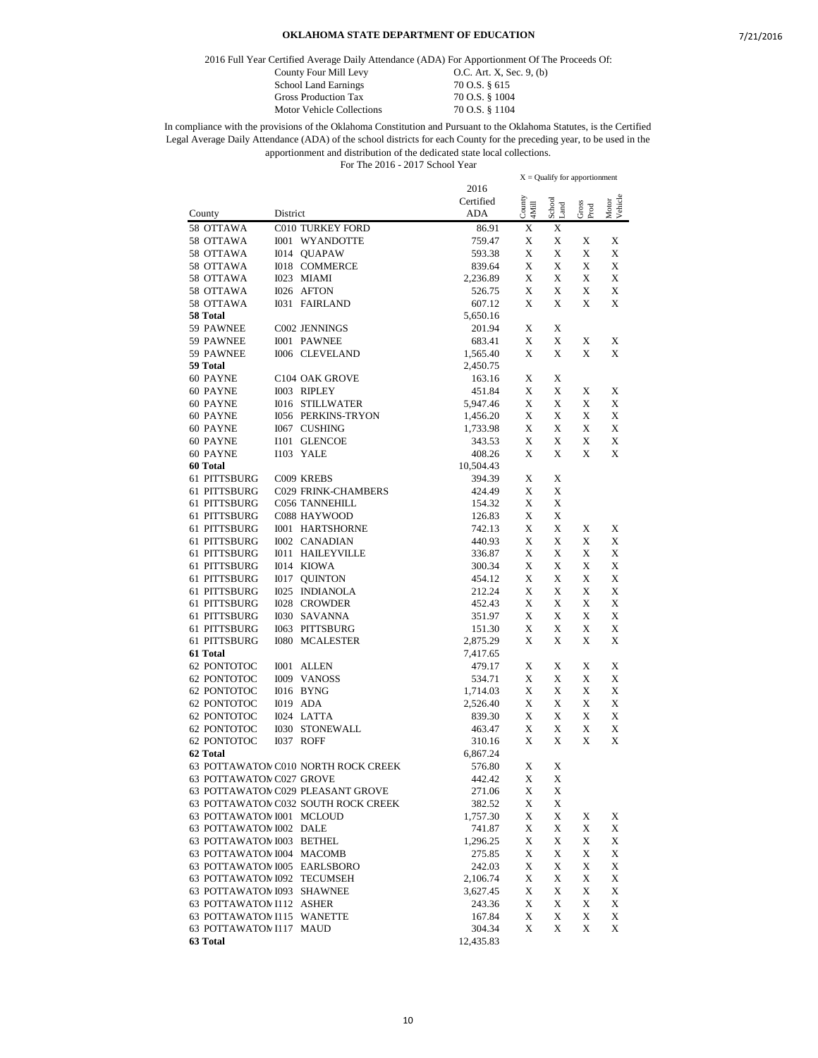2016 Full Year Certified Average Daily Attendance (ADA) For Apportionment Of The Proceeds Of:

School Land Earnings 70 O.S. § 615

Gross Production Tax 70 O.S. § 1004

County Four Mill Levy **O.C.** Art. X, Sec. 9, (b) Motor Vehicle Collections 70 O.S. § 1104

In compliance with the provisions of the Oklahoma Constitution and Pursuant to the Oklahoma Statutes, is the Certified Legal Average Daily Attendance (ADA) of the school districts for each County for the preceding year, to be used in the apportionment and distribution of the dedicated state local collections. For The 2016 - 2017 School Year

2016 Certified County District ADA  $X =$ Qualify for apportionment County 4Mill School Land Gross Prod Motor Vehicle 58 OTTAWA C010 TURKEY FORD 86.91 X X 58 OTTAWA I001 WYANDOTTE 759.47 X X X X 58 OTTAWA I014 QUAPAW 593.38 X X X X 58 OTTAWA I018 COMMERCE 839.64 X X X X 58 OTTAWA I023 MIAMI 2,236.89 X X X X 58 OTTAWA I026 AFTON 526.75 X X X X 58 OTTAWA I031 FAIRLAND 607.12 X X X X **58 Total** 5,650.16 59 PAWNEE C002 JENNINGS 201.94 X X 59 PAWNEE I001 PAWNEE 683.41 X X X X 59 PAWNEE 1006 CLEVELAND 1,565.40 X X X X **59 Total** 2,450.75 60 PAYNE C104 OAK GROVE 163.16 X X 60 PAYNE I003 RIPLEY 451.84 X X X X 60 PAYNE I016 STILLWATER 5,947.46 X X X X 60 PAYNE I056 PERKINS-TRYON 1,456.20 X X X X 60 PAYNE I067 CUSHING 1,733.98 X X X X 60 PAYNE I101 GLENCOE 343.53 X X X X 60 PAYNE I103 YALE 408.26 X X X X **60 Total** 10,504.43 61 PITTSBURG C009 KREBS 394.39  $\begin{array}{ccc} 34.39 & X & X \\ 61 & PITTSBURG & CO29 FRINK-CHAMBERS & 424.49 & X & X \end{array}$ C029 FRINK-CHAMBERS 424.49 X X 61 PITTSBURG C056 TANNEHILL 154.32 X X 61 PITTSBURG C088 HAYWOOD 126.83 X X 61 PITTSBURG I001 HARTSHORNE 742.13 X X X X 61 PITTSBURG I002 CANADIAN 440.93 X X X X 61 PITTSBURG I011 HAILEYVILLE 336.87 X X X X 61 PITTSBURG I014 KIOWA 300.34 X X X X 61 PITTSBURG I017 QUINTON 454.12 X X X X 61 PITTSBURG I025 INDIANOLA 212.24 X X X X 61 PITTSBURG I028 CROWDER 452.43 X X X X 61 PITTSBURG I030 SAVANNA 351.97 X X X X 61 PITTSBURG I063 PITTSBURG 151.30 X X X X 61 PITTSBURG I080 MCALESTER 2,875.29 X X X X **61 Total** 7,417.65 62 PONTOTOC I001 ALLEN 479.17 X X X X 62 PONTOTOC I009 VANOSS 534.71 X X X X 62 PONTOTOC I016 BYNG 1,714.03 X X X X 62 PONTOTOC I019 ADA 2,526.40 X X X X 62 PONTOTOC I024 LATTA 839.30 X X X X 62 PONTOTOC I030 STONEWALL 463.47 X X X X 62 PONTOTOC I037 ROFF 310.16 X X X X **62 Total** 6,867.24 63 POTTAWATOM C010 NORTH ROCK CREEK 576.80 X X 63 POTTAWATOM.C027 GROVE 442.42 X X 63 POTTAWATON C029 PLEASANT GROVE 271.06 X X 63 POTTAWATOM C032 SOUTH ROCK CREEK 382.52 X X 63 POTTAWATOM 1001 MCLOUD 1,757.30 X X X X X 63 POTTAWATOM 1002 DALE 741.87 X X X X X 63 POTTAWATOM 1003 BETHEL 1,296.25 X X X X 63 POTTAWATOMIE004 MACOMB 275.85 X X X X 63 POTTAWATOM 1005 EARLSBORO 242.03 X X X X X 63 POTTAWATOM 1092 TECUMSEH 2,106.74 X X X X X 63 POTTAWATOM 1093 SHAWNEE 3,627.45 X X X X X 63 POTTAWATOMI112 ASHER 243.36 X X X X X 63 POTTAWATOMI115 WANETTE 167.84 X X X X X 63 POTTAWATOMI117 MAUD 304.34 X X X X **63 Total** 12,435.83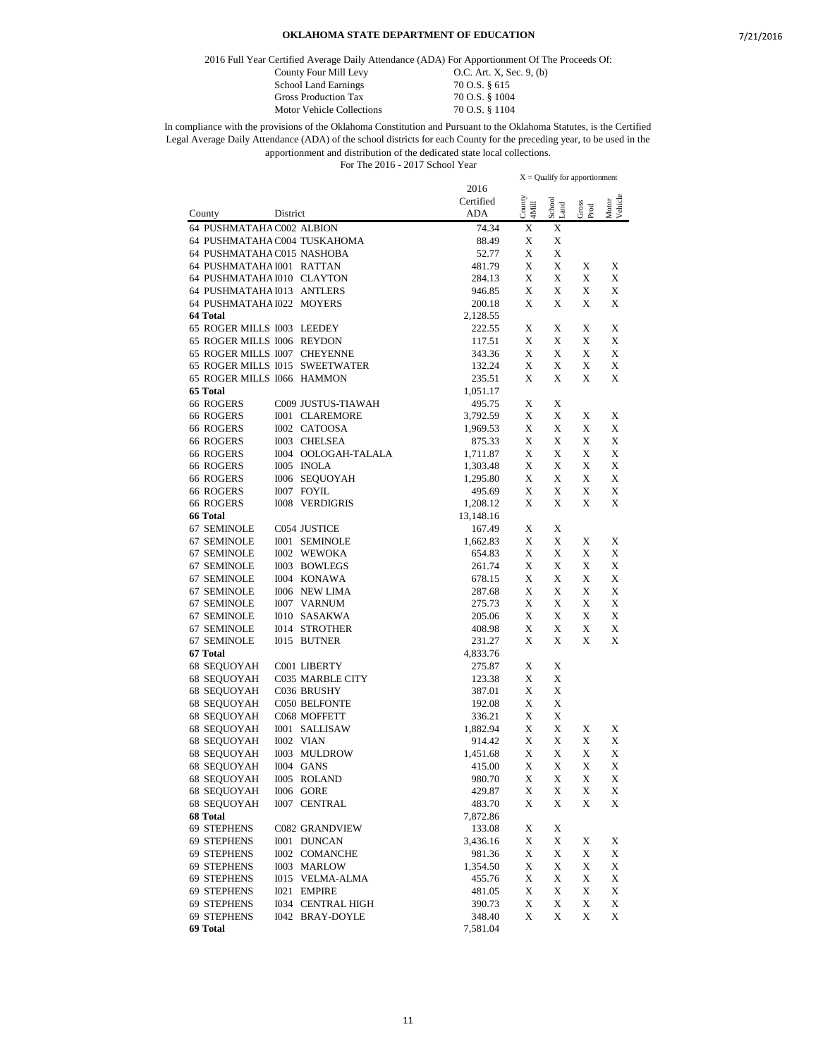2016 Full Year Certified Average Daily Attendance (ADA) For Apportionment Of The Proceeds Of:

School Land Earnings 70 O.S. § 615<br>Gross Production Tax 70 O.S. § 1004 Gross Production Tax 70 O.S. § 1004<br>Motor Vehicle Collections 70 O.S. § 1104 Motor Vehicle Collections

County Four Mill Levy 0.C. Art. X, Sec. 9, (b)

|                                                                |                          |                    |                 | $X =$ Qualify for apportionment |               |                  |
|----------------------------------------------------------------|--------------------------|--------------------|-----------------|---------------------------------|---------------|------------------|
|                                                                |                          | 2016               |                 |                                 |               |                  |
|                                                                |                          | Certified          | County<br>4Mill | School<br>Land                  | Gross<br>Prod | Motor<br>Vehicle |
| County<br>District                                             |                          | ADA                |                 |                                 |               |                  |
| 64 PUSHMATAHA C002 ALBION                                      |                          | 74.34              | X               | X                               |               |                  |
| 64 PUSHMATAHA C004 TUSKAHOMA                                   |                          | 88.49              | X               | X                               |               |                  |
| 64 PUSHMATAHA C015 NASHOBA                                     |                          | 52.77              | X               | X                               |               |                  |
| 64 PUSHMATAHA I001 RATTAN                                      |                          | 481.79             | X               | X                               | X             | X                |
| 64 PUSHMATAHA I010 CLAYTON                                     |                          | 284.13             | X               | X                               | X             | X                |
| 64 PUSHMATAHA I013 ANTLERS                                     |                          | 946.85             | X               | X                               | X             | X                |
| 64 PUSHMATAHA I022 MOYERS                                      |                          | 200.18             | X               | X                               | X             | X                |
| 64 Total                                                       |                          | 2,128.55           |                 |                                 |               |                  |
| 65 ROGER MILLS I003 LEEDEY                                     |                          | 222.55             | X               | Х                               | X             | X                |
| 65 ROGER MILLS 1006 REYDON                                     |                          | 117.51             | X               | X<br>X                          | X             | X                |
| 65 ROGER MILLS 1007 CHEYENNE<br>65 ROGER MILLS I015 SWEETWATER |                          | 343.36             | X<br>X          | X                               | X<br>X        | X<br>X           |
| 65 ROGER MILLS 1066 HAMMON                                     |                          | 132.24             |                 | X                               |               | X                |
| 65 Total                                                       |                          | 235.51             | X               |                                 | X             |                  |
| 66 ROGERS                                                      |                          | 1,051.17           | X               | Х                               |               |                  |
|                                                                | C009 JUSTUS-TIAWAH       | 495.75             | X               | X                               | X             | X                |
| 66 ROGERS<br>66 ROGERS<br>I002 CATOOSA                         | <b>I001 CLAREMORE</b>    | 3,792.59           | X               | X                               | X             | X                |
| 66 ROGERS<br>I003 CHELSEA                                      |                          | 1,969.53<br>875.33 | X               | X                               | X             | X                |
| 66 ROGERS                                                      | I004 OOLOGAH-TALALA      | 1,711.87           | X               | X                               | X             | X                |
| 66 ROGERS<br>I005 INOLA                                        |                          | 1,303.48           | X               | X                               | X             | X                |
| 66 ROGERS                                                      | <b>I006 SEOUOYAH</b>     | 1,295.80           | X               | X                               | X             | X                |
| 66 ROGERS<br><b>I007 FOYIL</b>                                 |                          | 495.69             | X               | X                               | X             | X                |
| 66 ROGERS<br><b>I008 VERDIGRIS</b>                             |                          | 1,208.12           | X               | X                               | X             | X                |
| 66 Total                                                       |                          | 13,148.16          |                 |                                 |               |                  |
| 67 SEMINOLE<br>C054 JUSTICE                                    |                          | 167.49             | X               | X                               |               |                  |
| 67 SEMINOLE<br><b>I001 SEMINOLE</b>                            |                          | 1,662.83           | X               | X                               | X             | X                |
| 67 SEMINOLE<br>I002 WEWOKA                                     |                          | 654.83             | X               | X                               | X             | X                |
| 67 SEMINOLE<br><b>I003 BOWLEGS</b>                             |                          | 261.74             | X               | X                               | X             | X                |
| 67 SEMINOLE<br>I004 KONAWA                                     |                          | 678.15             | X               | X                               | X             | X                |
| 67 SEMINOLE<br><b>I006 NEW LIMA</b>                            |                          | 287.68             | X               | X                               | X             | X                |
| 67 SEMINOLE<br><b>I007 VARNUM</b>                              |                          | 275.73             | X               | X                               | X             | X                |
| 67 SEMINOLE<br><b>I010 SASAKWA</b>                             |                          | 205.06             | X               | X                               | X             | X                |
| 67 SEMINOLE<br><b>I014 STROTHER</b>                            |                          | 408.98             | X               | X                               | X             | X                |
| 67 SEMINOLE<br>I015 BUTNER                                     |                          | 231.27             | X               | X                               | X             | X                |
| 67 Total                                                       |                          | 4,833.76           |                 |                                 |               |                  |
| 68 SEQUOYAH<br>C001 LIBERTY                                    |                          | 275.87             | X               | X                               |               |                  |
| 68 SEQUOYAH                                                    | C035 MARBLE CITY         | 123.38             | X               | X                               |               |                  |
| 68 SEQUOYAH<br>C036 BRUSHY                                     |                          | 387.01             | X               | Х                               |               |                  |
| 68 SEOUOYAH<br>C050 BELFONTE                                   |                          | 192.08             | X               | X                               |               |                  |
| 68 SEQUOYAH<br>C068 MOFFETT                                    |                          | 336.21             | X               | X                               |               |                  |
| 68 SEQUOYAH<br><b>I001 SALLISAW</b>                            |                          | 1,882.94           | X               | X                               | X             | X                |
| 68 SEQUOYAH<br>I002 VIAN                                       |                          | 914.42             | X               | X                               | X             | X                |
| 68 SEQUOYAH<br>I003 MULDROW                                    |                          | 1,451.68           | X               | X                               | X             | X                |
| 68 SEQUOYAH<br>I004 GANS                                       |                          | 415.00             | X               | X                               | X             | X                |
| 68 SEQUOYAH<br>I005 ROLAND                                     |                          | 980.70             | $\mathbf X$     | $\mathbf X$                     | X             | $\mathbf X$      |
| 68 SEQUOYAH<br><b>I006 GORE</b>                                |                          | 429.87             | X               | X                               | X             | X                |
| 68 SEQUOYAH<br>I007 CENTRAL                                    |                          | 483.70             | X               | X                               | X             | X                |
| 68 Total                                                       |                          | 7,872.86           |                 |                                 |               |                  |
| 69 STEPHENS                                                    | <b>C082 GRANDVIEW</b>    | 133.08             | X               | X                               |               |                  |
| 69 STEPHENS<br>I001 DUNCAN                                     |                          | 3,436.16           | X               | X                               | X             | X                |
| 69 STEPHENS                                                    | <b>I002 COMANCHE</b>     | 981.36             | X               | X                               | X             | X                |
| 69 STEPHENS<br>I003 MARLOW                                     |                          | 1,354.50           | X               | X                               | X             | X                |
| 69 STEPHENS                                                    | I015 VELMA-ALMA          | 455.76             | X               | X                               | X             | X                |
| 69 STEPHENS<br>I021 EMPIRE                                     |                          | 481.05             | X               | X                               | X             | X                |
| 69 STEPHENS                                                    | <b>I034 CENTRAL HIGH</b> | 390.73             | X               | X                               | X             | X                |
| 69 STEPHENS                                                    | <b>I042 BRAY-DOYLE</b>   | 348.40             | X               | X                               | X             | X                |
| 69 Total                                                       |                          | 7,581.04           |                 |                                 |               |                  |